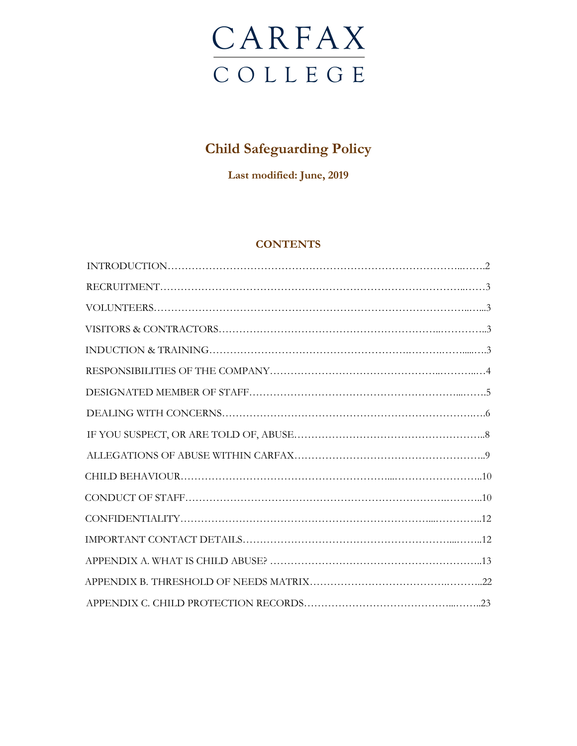

# **Child Safeguarding Policy**

**Last modified: June, 2019**

# **CONTENTS**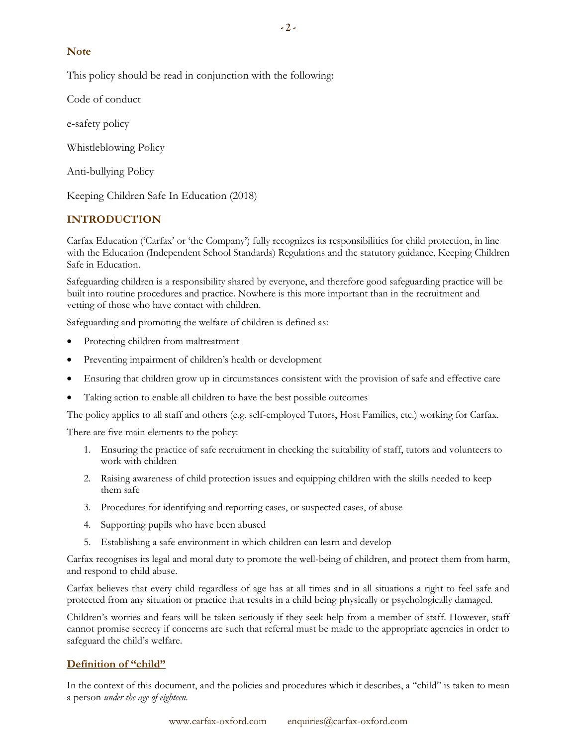# **Note**

This policy should be read in conjunction with the following:

Code of conduct

e-safety policy

Whistleblowing Policy

Anti-bullying Policy

Keeping Children Safe In Education (2018)

# **INTRODUCTION**

Carfax Education ('Carfax' or 'the Company') fully recognizes its responsibilities for child protection, in line with the Education (Independent School Standards) Regulations and the statutory guidance, Keeping Children Safe in Education.

Safeguarding children is a responsibility shared by everyone, and therefore good safeguarding practice will be built into routine procedures and practice. Nowhere is this more important than in the recruitment and vetting of those who have contact with children.

Safeguarding and promoting the welfare of children is defined as:

- Protecting children from maltreatment
- Preventing impairment of children's health or development
- Ensuring that children grow up in circumstances consistent with the provision of safe and effective care
- Taking action to enable all children to have the best possible outcomes

The policy applies to all staff and others (e.g. self-employed Tutors, Host Families, etc.) working for Carfax.

There are five main elements to the policy:

- 1. Ensuring the practice of safe recruitment in checking the suitability of staff, tutors and volunteers to work with children
- 2. Raising awareness of child protection issues and equipping children with the skills needed to keep them safe
- 3. Procedures for identifying and reporting cases, or suspected cases, of abuse
- 4. Supporting pupils who have been abused
- 5. Establishing a safe environment in which children can learn and develop

Carfax recognises its legal and moral duty to promote the well-being of children, and protect them from harm, and respond to child abuse.

Carfax believes that every child regardless of age has at all times and in all situations a right to feel safe and protected from any situation or practice that results in a child being physically or psychologically damaged.

Children's worries and fears will be taken seriously if they seek help from a member of staff. However, staff cannot promise secrecy if concerns are such that referral must be made to the appropriate agencies in order to safeguard the child's welfare.

# **Definition of "child"**

In the context of this document, and the policies and procedures which it describes, a "child" is taken to mean a person *under the age of eighteen*.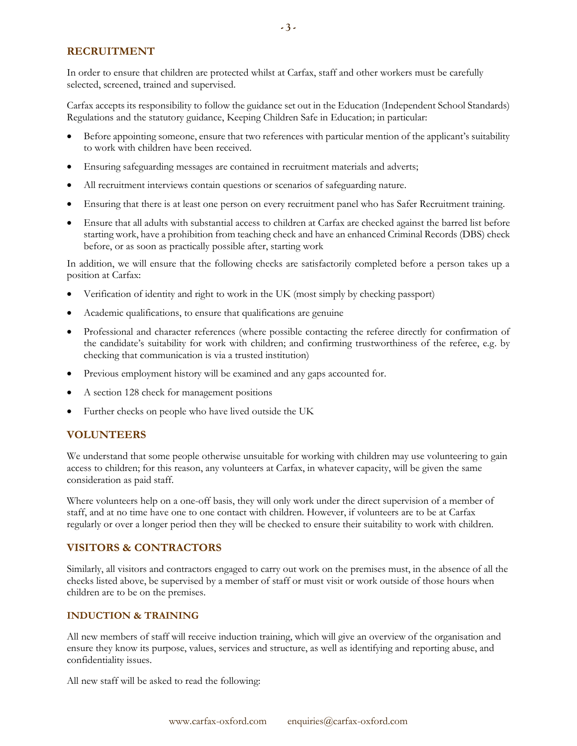# **RECRUITMENT**

In order to ensure that children are protected whilst at Carfax, staff and other workers must be carefully selected, screened, trained and supervised.

Carfax accepts its responsibility to follow the guidance set out in the Education (Independent School Standards) Regulations and the statutory guidance, Keeping Children Safe in Education; in particular:

- Before appointing someone, ensure that two references with particular mention of the applicant's suitability to work with children have been received.
- Ensuring safeguarding messages are contained in recruitment materials and adverts;
- All recruitment interviews contain questions or scenarios of safeguarding nature.
- Ensuring that there is at least one person on every recruitment panel who has Safer Recruitment training.
- Ensure that all adults with substantial access to children at Carfax are checked against the barred list before starting work, have a prohibition from teaching check and have an enhanced Criminal Records (DBS) check before, or as soon as practically possible after, starting work

In addition, we will ensure that the following checks are satisfactorily completed before a person takes up a position at Carfax:

- Verification of identity and right to work in the UK (most simply by checking passport)
- Academic qualifications, to ensure that qualifications are genuine
- Professional and character references (where possible contacting the referee directly for confirmation of the candidate's suitability for work with children; and confirming trustworthiness of the referee, e.g. by checking that communication is via a trusted institution)
- Previous employment history will be examined and any gaps accounted for.
- A section 128 check for management positions
- Further checks on people who have lived outside the UK

# **VOLUNTEERS**

We understand that some people otherwise unsuitable for working with children may use volunteering to gain access to children; for this reason, any volunteers at Carfax, in whatever capacity, will be given the same consideration as paid staff.

Where volunteers help on a one-off basis, they will only work under the direct supervision of a member of staff, and at no time have one to one contact with children. However, if volunteers are to be at Carfax regularly or over a longer period then they will be checked to ensure their suitability to work with children.

# **VISITORS & CONTRACTORS**

Similarly, all visitors and contractors engaged to carry out work on the premises must, in the absence of all the checks listed above, be supervised by a member of staff or must visit or work outside of those hours when children are to be on the premises.

# **INDUCTION & TRAINING**

All new members of staff will receive induction training, which will give an overview of the organisation and ensure they know its purpose, values, services and structure, as well as identifying and reporting abuse, and confidentiality issues.

All new staff will be asked to read the following: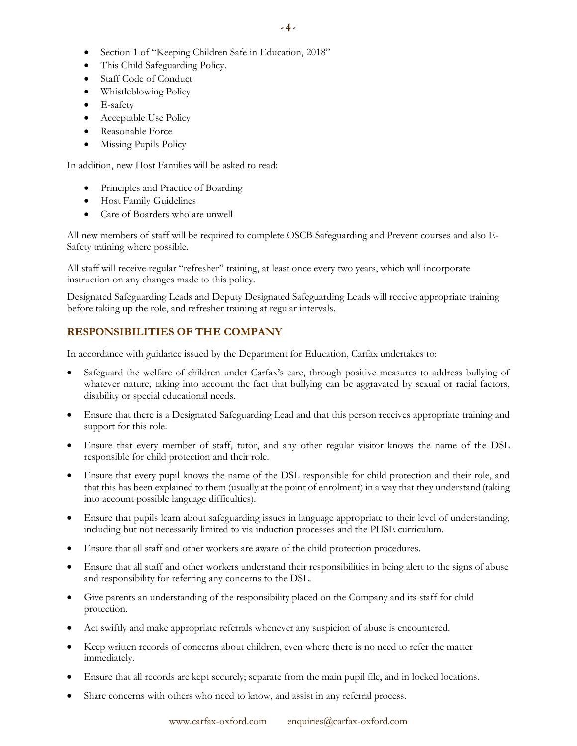- Section 1 of "Keeping Children Safe in Education, 2018"
- This Child Safeguarding Policy.
- Staff Code of Conduct
- Whistleblowing Policy
- E-safety
- Acceptable Use Policy
- Reasonable Force
- Missing Pupils Policy

In addition, new Host Families will be asked to read:

- Principles and Practice of Boarding
- Host Family Guidelines
- Care of Boarders who are unwell

All new members of staff will be required to complete OSCB Safeguarding and Prevent courses and also E-Safety training where possible.

All staff will receive regular "refresher" training, at least once every two years, which will incorporate instruction on any changes made to this policy.

Designated Safeguarding Leads and Deputy Designated Safeguarding Leads will receive appropriate training before taking up the role, and refresher training at regular intervals.

# **RESPONSIBILITIES OF THE COMPANY**

In accordance with guidance issued by the Department for Education, Carfax undertakes to:

- Safeguard the welfare of children under Carfax's care, through positive measures to address bullying of whatever nature, taking into account the fact that bullying can be aggravated by sexual or racial factors, disability or special educational needs.
- Ensure that there is a Designated Safeguarding Lead and that this person receives appropriate training and support for this role.
- Ensure that every member of staff, tutor, and any other regular visitor knows the name of the DSL responsible for child protection and their role.
- Ensure that every pupil knows the name of the DSL responsible for child protection and their role, and that this has been explained to them (usually at the point of enrolment) in a way that they understand (taking into account possible language difficulties).
- Ensure that pupils learn about safeguarding issues in language appropriate to their level of understanding, including but not necessarily limited to via induction processes and the PHSE curriculum.
- Ensure that all staff and other workers are aware of the child protection procedures.
- Ensure that all staff and other workers understand their responsibilities in being alert to the signs of abuse and responsibility for referring any concerns to the DSL.
- Give parents an understanding of the responsibility placed on the Company and its staff for child protection.
- Act swiftly and make appropriate referrals whenever any suspicion of abuse is encountered.
- Keep written records of concerns about children, even where there is no need to refer the matter immediately.
- Ensure that all records are kept securely; separate from the main pupil file, and in locked locations.
- Share concerns with others who need to know, and assist in any referral process.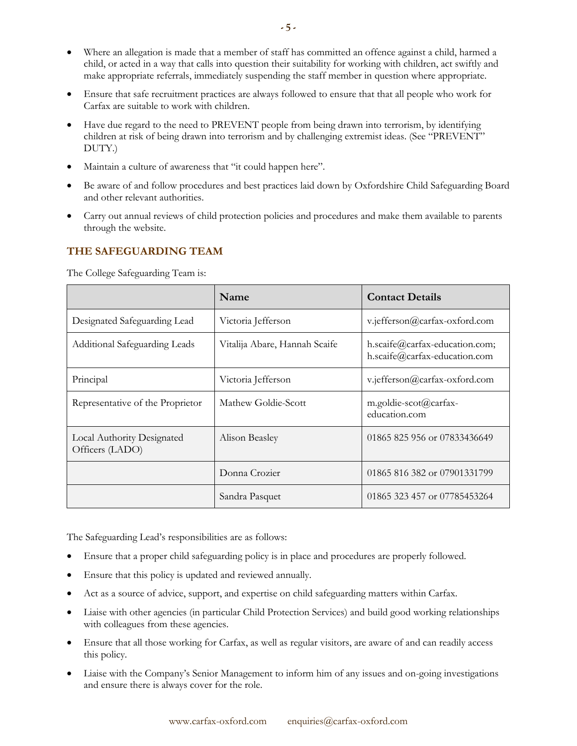- Where an allegation is made that a member of staff has committed an offence against a child, harmed a child, or acted in a way that calls into question their suitability for working with children, act swiftly and make appropriate referrals, immediately suspending the staff member in question where appropriate.
- Ensure that safe recruitment practices are always followed to ensure that that all people who work for Carfax are suitable to work with children.
- Have due regard to the need to PREVENT people from being drawn into terrorism, by identifying children at risk of being drawn into terrorism and by challenging extremist ideas. (See "PREVENT" DUTY.)
- Maintain a culture of awareness that "it could happen here".
- Be aware of and follow procedures and best practices laid down by Oxfordshire Child Safeguarding Board and other relevant authorities.
- Carry out annual reviews of child protection policies and procedures and make them available to parents through the website.

# **THE SAFEGUARDING TEAM**

|                                               | Name                          | <b>Contact Details</b>                                          |
|-----------------------------------------------|-------------------------------|-----------------------------------------------------------------|
| Designated Safeguarding Lead                  | Victoria Jefferson            | v.jefferson@carfax-oxford.com                                   |
| Additional Safeguarding Leads                 | Vitalija Abare, Hannah Scaife | h.scaife@carfax-education.com;<br>h.scaife@carfax-education.com |
| Principal                                     | Victoria Jefferson            | v.jefferson@carfax-oxford.com                                   |
| Representative of the Proprietor              | Mathew Goldie-Scott           | m.goldie-scot@carfax-<br>education.com                          |
| Local Authority Designated<br>Officers (LADO) | Alison Beasley                | 01865 825 956 or 07833436649                                    |
|                                               | Donna Crozier                 | 01865 816 382 or 07901331799                                    |
|                                               | Sandra Pasquet                | 01865 323 457 or 07785453264                                    |

The College Safeguarding Team is:

The Safeguarding Lead's responsibilities are as follows:

- Ensure that a proper child safeguarding policy is in place and procedures are properly followed.
- Ensure that this policy is updated and reviewed annually.
- Act as a source of advice, support, and expertise on child safeguarding matters within Carfax.
- Liaise with other agencies (in particular Child Protection Services) and build good working relationships with colleagues from these agencies.
- Ensure that all those working for Carfax, as well as regular visitors, are aware of and can readily access this policy.
- Liaise with the Company's Senior Management to inform him of any issues and on-going investigations and ensure there is always cover for the role.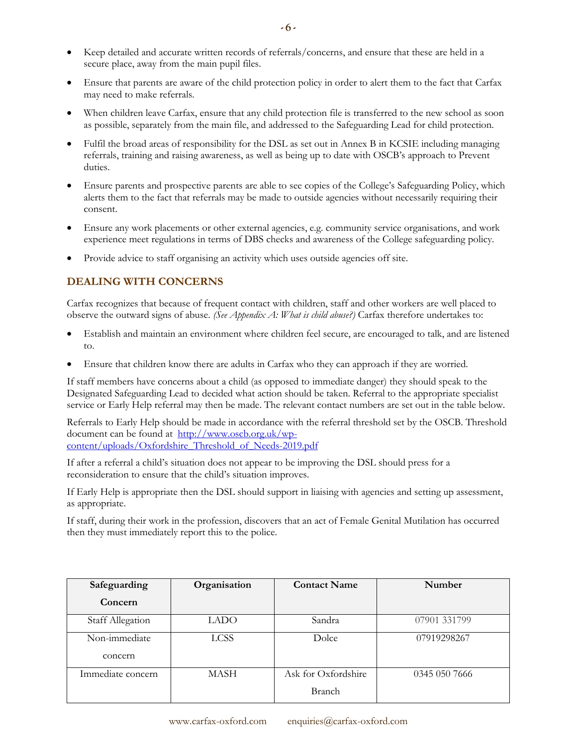- Keep detailed and accurate written records of referrals/concerns, and ensure that these are held in a secure place, away from the main pupil files.
- Ensure that parents are aware of the child protection policy in order to alert them to the fact that Carfax may need to make referrals.
- When children leave Carfax, ensure that any child protection file is transferred to the new school as soon as possible, separately from the main file, and addressed to the Safeguarding Lead for child protection.
- Fulfil the broad areas of responsibility for the DSL as set out in Annex B in KCSIE including managing referrals, training and raising awareness, as well as being up to date with OSCB's approach to Prevent duties.
- Ensure parents and prospective parents are able to see copies of the College's Safeguarding Policy, which alerts them to the fact that referrals may be made to outside agencies without necessarily requiring their consent.
- Ensure any work placements or other external agencies, e.g. community service organisations, and work experience meet regulations in terms of DBS checks and awareness of the College safeguarding policy.
- Provide advice to staff organising an activity which uses outside agencies off site.

# **DEALING WITH CONCERNS**

Carfax recognizes that because of frequent contact with children, staff and other workers are well placed to observe the outward signs of abuse. *(See Appendix A: What is child abuse?)* Carfax therefore undertakes to:

- Establish and maintain an environment where children feel secure, are encouraged to talk, and are listened to.
- Ensure that children know there are adults in Carfax who they can approach if they are worried.

If staff members have concerns about a child (as opposed to immediate danger) they should speak to the Designated Safeguarding Lead to decided what action should be taken. Referral to the appropriate specialist service or Early Help referral may then be made. The relevant contact numbers are set out in the table below.

Referrals to Early Help should be made in accordance with the referral threshold set by the OSCB. Threshold document can be found at [http://www.oscb.org.uk/wp](http://www.oscb.org.uk/wp-content/uploads/Oxfordshire_Threshold_of_Needs-2019.pdf)[content/uploads/Oxfordshire\\_Threshold\\_of\\_Needs-2019.pdf](http://www.oscb.org.uk/wp-content/uploads/Oxfordshire_Threshold_of_Needs-2019.pdf)

If after a referral a child's situation does not appear to be improving the DSL should press for a reconsideration to ensure that the child's situation improves.

If Early Help is appropriate then the DSL should support in liaising with agencies and setting up assessment, as appropriate.

If staff, during their work in the profession, discovers that an act of Female Genital Mutilation has occurred then they must immediately report this to the police.

| Safeguarding            | Organisation | <b>Contact Name</b> | Number        |
|-------------------------|--------------|---------------------|---------------|
| Concern                 |              |                     |               |
| <b>Staff Allegation</b> | LADO         | Sandra              | 07901 331799  |
| Non-immediate           | <b>LCSS</b>  | Dolce               | 07919298267   |
| concern                 |              |                     |               |
| Immediate concern       | MASH         | Ask for Oxfordshire | 0345 050 7666 |
|                         |              | Branch              |               |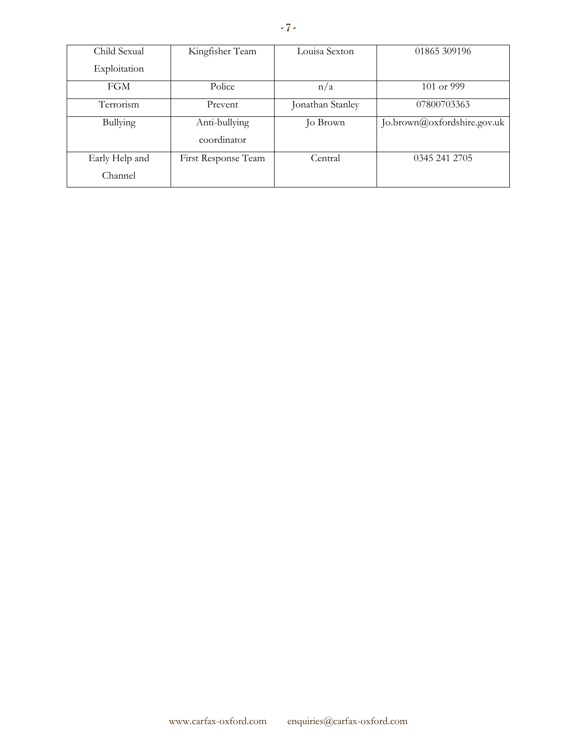| Child Sexual   | Kingfisher Team     | Louisa Sexton    | 01865 309196                |
|----------------|---------------------|------------------|-----------------------------|
| Exploitation   |                     |                  |                             |
| <b>FGM</b>     | Police              | n/a              | $101$ or 999                |
| Terrorism      | Prevent             | Jonathan Stanley | 07800703363                 |
| Bullying       | Anti-bullying       | Jo Brown         | Jo.brown@oxfordshire.gov.uk |
|                | coordinator         |                  |                             |
| Early Help and | First Response Team | Central          | 0345 241 2705               |
| Channel        |                     |                  |                             |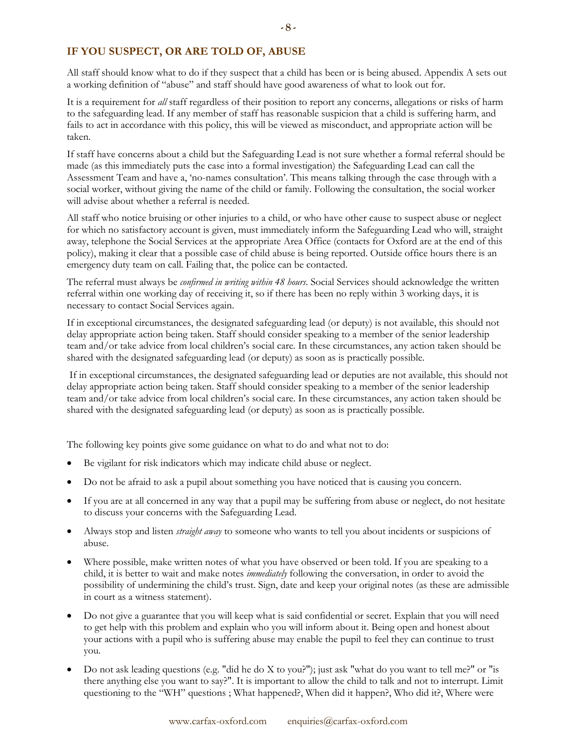# **IF YOU SUSPECT, OR ARE TOLD OF, ABUSE**

All staff should know what to do if they suspect that a child has been or is being abused. Appendix A sets out a working definition of "abuse" and staff should have good awareness of what to look out for.

It is a requirement for *all* staff regardless of their position to report any concerns, allegations or risks of harm to the safeguarding lead. If any member of staff has reasonable suspicion that a child is suffering harm, and fails to act in accordance with this policy, this will be viewed as misconduct, and appropriate action will be taken.

If staff have concerns about a child but the Safeguarding Lead is not sure whether a formal referral should be made (as this immediately puts the case into a formal investigation) the Safeguarding Lead can call the Assessment Team and have a, 'no-names consultation'. This means talking through the case through with a social worker, without giving the name of the child or family. Following the consultation, the social worker will advise about whether a referral is needed.

All staff who notice bruising or other injuries to a child, or who have other cause to suspect abuse or neglect for which no satisfactory account is given, must immediately inform the Safeguarding Lead who will, straight away, telephone the Social Services at the appropriate Area Office (contacts for Oxford are at the end of this policy), making it clear that a possible case of child abuse is being reported. Outside office hours there is an emergency duty team on call. Failing that, the police can be contacted.

The referral must always be *confirmed in writing within 48 hours*. Social Services should acknowledge the written referral within one working day of receiving it, so if there has been no reply within 3 working days, it is necessary to contact Social Services again.

If in exceptional circumstances, the designated safeguarding lead (or deputy) is not available, this should not delay appropriate action being taken. Staff should consider speaking to a member of the senior leadership team and/or take advice from local children's social care. In these circumstances, any action taken should be shared with the designated safeguarding lead (or deputy) as soon as is practically possible.

If in exceptional circumstances, the designated safeguarding lead or deputies are not available, this should not delay appropriate action being taken. Staff should consider speaking to a member of the senior leadership team and/or take advice from local children's social care. In these circumstances, any action taken should be shared with the designated safeguarding lead (or deputy) as soon as is practically possible.

The following key points give some guidance on what to do and what not to do:

- Be vigilant for risk indicators which may indicate child abuse or neglect.
- Do not be afraid to ask a pupil about something you have noticed that is causing you concern.
- If you are at all concerned in any way that a pupil may be suffering from abuse or neglect, do not hesitate to discuss your concerns with the Safeguarding Lead.
- Always stop and listen *straight away* to someone who wants to tell you about incidents or suspicions of abuse.
- Where possible, make written notes of what you have observed or been told. If you are speaking to a child, it is better to wait and make notes *immediately* following the conversation, in order to avoid the possibility of undermining the child's trust. Sign, date and keep your original notes (as these are admissible in court as a witness statement).
- Do not give a guarantee that you will keep what is said confidential or secret. Explain that you will need to get help with this problem and explain who you will inform about it. Being open and honest about your actions with a pupil who is suffering abuse may enable the pupil to feel they can continue to trust you.
- Do not ask leading questions (e.g. "did he do X to you?"); just ask "what do you want to tell me?" or "is there anything else you want to say?". It is important to allow the child to talk and not to interrupt. Limit questioning to the "WH" questions ; What happened?, When did it happen?, Who did it?, Where were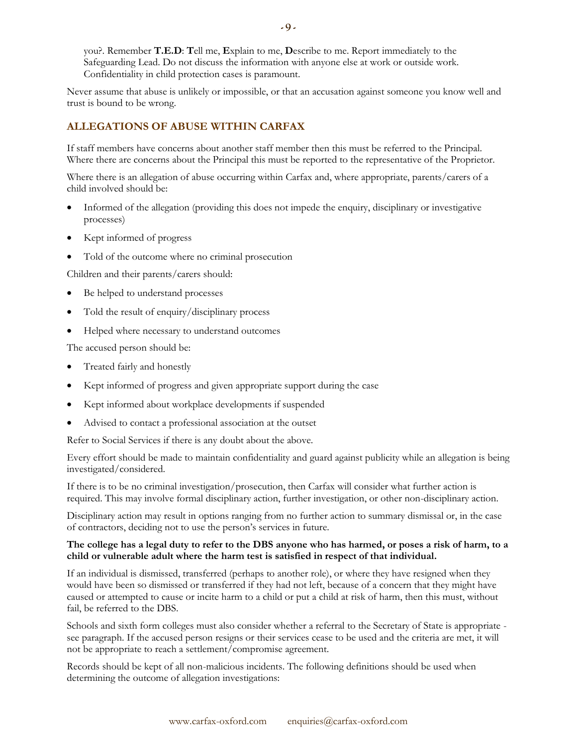you?. Remember **T.E.D**: **T**ell me, **E**xplain to me, **D**escribe to me. Report immediately to the Safeguarding Lead. Do not discuss the information with anyone else at work or outside work. Confidentiality in child protection cases is paramount.

Never assume that abuse is unlikely or impossible, or that an accusation against someone you know well and trust is bound to be wrong.

# **ALLEGATIONS OF ABUSE WITHIN CARFAX**

If staff members have concerns about another staff member then this must be referred to the Principal. Where there are concerns about the Principal this must be reported to the representative of the Proprietor.

Where there is an allegation of abuse occurring within Carfax and, where appropriate, parents/carers of a child involved should be:

- Informed of the allegation (providing this does not impede the enquiry, disciplinary or investigative processes)
- Kept informed of progress
- Told of the outcome where no criminal prosecution

Children and their parents/carers should:

- Be helped to understand processes
- Told the result of enquiry/disciplinary process
- Helped where necessary to understand outcomes

The accused person should be:

- Treated fairly and honestly
- Kept informed of progress and given appropriate support during the case
- Kept informed about workplace developments if suspended
- Advised to contact a professional association at the outset

Refer to Social Services if there is any doubt about the above.

Every effort should be made to maintain confidentiality and guard against publicity while an allegation is being investigated/considered.

If there is to be no criminal investigation/prosecution, then Carfax will consider what further action is required. This may involve formal disciplinary action, further investigation, or other non-disciplinary action.

Disciplinary action may result in options ranging from no further action to summary dismissal or, in the case of contractors, deciding not to use the person's services in future.

#### **The college has a legal duty to refer to the DBS anyone who has harmed, or poses a risk of harm, to a child or vulnerable adult where the harm test is satisfied in respect of that individual.**

If an individual is dismissed, transferred (perhaps to another role), or where they have resigned when they would have been so dismissed or transferred if they had not left, because of a concern that they might have caused or attempted to cause or incite harm to a child or put a child at risk of harm, then this must, without fail, be referred to the DBS.

Schools and sixth form colleges must also consider whether a referral to the Secretary of State is appropriate see paragraph. If the accused person resigns or their services cease to be used and the criteria are met, it will not be appropriate to reach a settlement/compromise agreement.

Records should be kept of all non-malicious incidents. The following definitions should be used when determining the outcome of allegation investigations: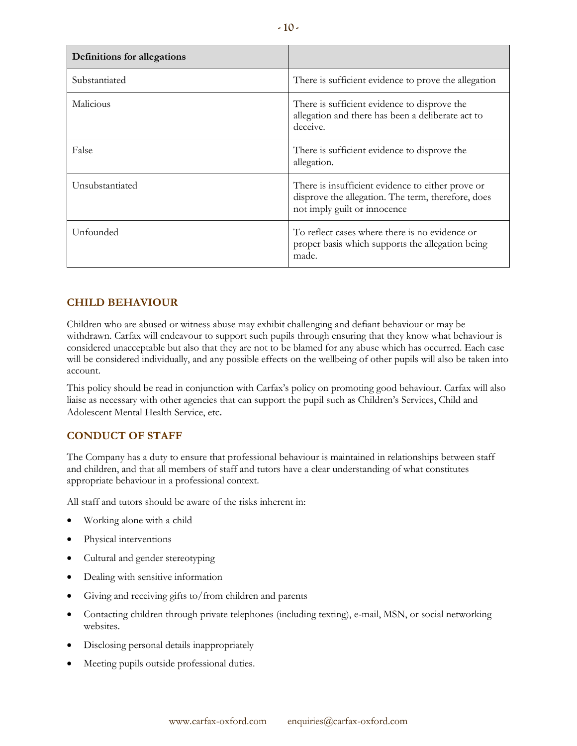| <b>Definitions for allegations</b> |                                                                                                                                         |  |
|------------------------------------|-----------------------------------------------------------------------------------------------------------------------------------------|--|
| Substantiated                      | There is sufficient evidence to prove the allegation                                                                                    |  |
| Malicious                          | There is sufficient evidence to disprove the<br>allegation and there has been a deliberate act to<br>deceive.                           |  |
| False                              | There is sufficient evidence to disprove the<br>allegation.                                                                             |  |
| Unsubstantiated                    | There is insufficient evidence to either prove or<br>disprove the allegation. The term, therefore, does<br>not imply guilt or innocence |  |
| Unfounded                          | To reflect cases where there is no evidence or<br>proper basis which supports the allegation being<br>made.                             |  |

# **CHILD BEHAVIOUR**

Children who are abused or witness abuse may exhibit challenging and defiant behaviour or may be withdrawn. Carfax will endeavour to support such pupils through ensuring that they know what behaviour is considered unacceptable but also that they are not to be blamed for any abuse which has occurred. Each case will be considered individually, and any possible effects on the wellbeing of other pupils will also be taken into account.

This policy should be read in conjunction with Carfax's policy on promoting good behaviour. Carfax will also liaise as necessary with other agencies that can support the pupil such as Children's Services, Child and Adolescent Mental Health Service, etc.

# **CONDUCT OF STAFF**

The Company has a duty to ensure that professional behaviour is maintained in relationships between staff and children, and that all members of staff and tutors have a clear understanding of what constitutes appropriate behaviour in a professional context.

All staff and tutors should be aware of the risks inherent in:

- Working alone with a child
- Physical interventions
- Cultural and gender stereotyping
- Dealing with sensitive information
- Giving and receiving gifts to/from children and parents
- Contacting children through private telephones (including texting), e-mail, MSN, or social networking websites.
- Disclosing personal details inappropriately
- Meeting pupils outside professional duties.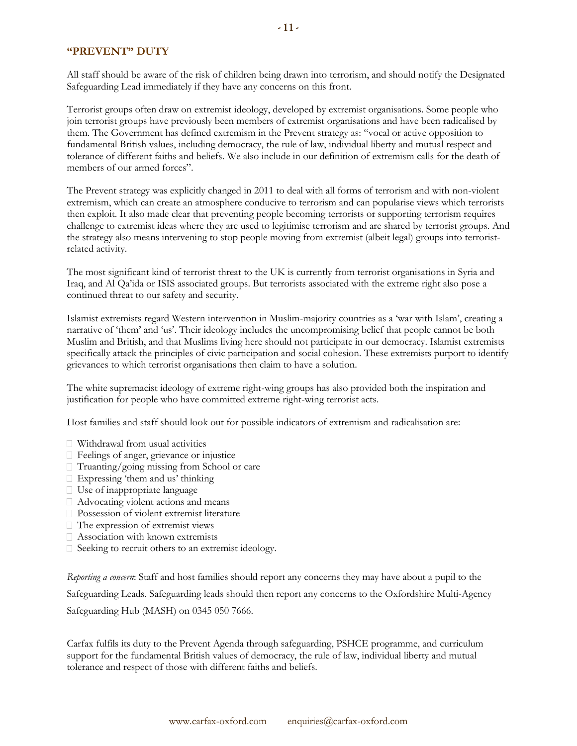# **"PREVENT" DUTY**

All staff should be aware of the risk of children being drawn into terrorism, and should notify the Designated Safeguarding Lead immediately if they have any concerns on this front.

Terrorist groups often draw on extremist ideology, developed by extremist organisations. Some people who join terrorist groups have previously been members of extremist organisations and have been radicalised by them. The Government has defined extremism in the Prevent strategy as: "vocal or active opposition to fundamental British values, including democracy, the rule of law, individual liberty and mutual respect and tolerance of different faiths and beliefs. We also include in our definition of extremism calls for the death of members of our armed forces".

The Prevent strategy was explicitly changed in 2011 to deal with all forms of terrorism and with non-violent extremism, which can create an atmosphere conducive to terrorism and can popularise views which terrorists then exploit. It also made clear that preventing people becoming terrorists or supporting terrorism requires challenge to extremist ideas where they are used to legitimise terrorism and are shared by terrorist groups. And the strategy also means intervening to stop people moving from extremist (albeit legal) groups into terroristrelated activity.

The most significant kind of terrorist threat to the UK is currently from terrorist organisations in Syria and Iraq, and Al Qa'ida or ISIS associated groups. But terrorists associated with the extreme right also pose a continued threat to our safety and security.

Islamist extremists regard Western intervention in Muslim-majority countries as a 'war with Islam', creating a narrative of 'them' and 'us'. Their ideology includes the uncompromising belief that people cannot be both Muslim and British, and that Muslims living here should not participate in our democracy. Islamist extremists specifically attack the principles of civic participation and social cohesion. These extremists purport to identify grievances to which terrorist organisations then claim to have a solution.

The white supremacist ideology of extreme right-wing groups has also provided both the inspiration and justification for people who have committed extreme right-wing terrorist acts.

Host families and staff should look out for possible indicators of extremism and radicalisation are:

- Withdrawal from usual activities
- Feelings of anger, grievance or injustice
- Truanting/going missing from School or care
- Expressing 'them and us' thinking
- $\Box$  Use of inappropriate language
- Advocating violent actions and means
- **Possession of violent extremist literature**
- $\Box$  The expression of extremist views
- Association with known extremists
- $\square$  Seeking to recruit others to an extremist ideology.

*Reporting a concern*: Staff and host families should report any concerns they may have about a pupil to the Safeguarding Leads. Safeguarding leads should then report any concerns to the Oxfordshire Multi-Agency Safeguarding Hub (MASH) on 0345 050 7666.

Carfax fulfils its duty to the Prevent Agenda through safeguarding, PSHCE programme, and curriculum support for the fundamental British values of democracy, the rule of law, individual liberty and mutual tolerance and respect of those with different faiths and beliefs.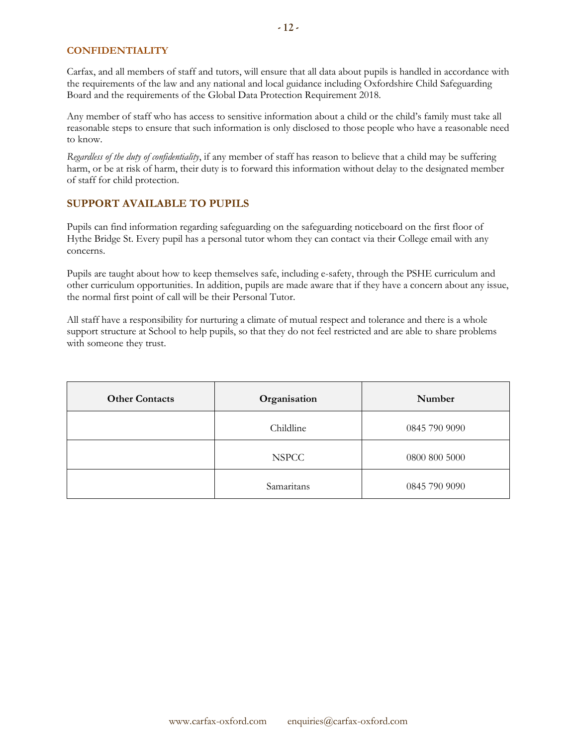### **CONFIDENTIALITY**

Carfax, and all members of staff and tutors, will ensure that all data about pupils is handled in accordance with the requirements of the law and any national and local guidance including Oxfordshire Child Safeguarding Board and the requirements of the Global Data Protection Requirement 2018.

Any member of staff who has access to sensitive information about a child or the child's family must take all reasonable steps to ensure that such information is only disclosed to those people who have a reasonable need to know.

*Regardless of the duty of confidentiality*, if any member of staff has reason to believe that a child may be suffering harm, or be at risk of harm, their duty is to forward this information without delay to the designated member of staff for child protection.

# **SUPPORT AVAILABLE TO PUPILS**

Pupils can find information regarding safeguarding on the safeguarding noticeboard on the first floor of Hythe Bridge St. Every pupil has a personal tutor whom they can contact via their College email with any concerns.

Pupils are taught about how to keep themselves safe, including e-safety, through the PSHE curriculum and other curriculum opportunities. In addition, pupils are made aware that if they have a concern about any issue, the normal first point of call will be their Personal Tutor.

All staff have a responsibility for nurturing a climate of mutual respect and tolerance and there is a whole support structure at School to help pupils, so that they do not feel restricted and are able to share problems with someone they trust.

| <b>Other Contacts</b> | Organisation | Number        |
|-----------------------|--------------|---------------|
|                       | Childline    | 0845 790 9090 |
|                       | <b>NSPCC</b> | 0800 800 5000 |
|                       | Samaritans   | 0845 790 9090 |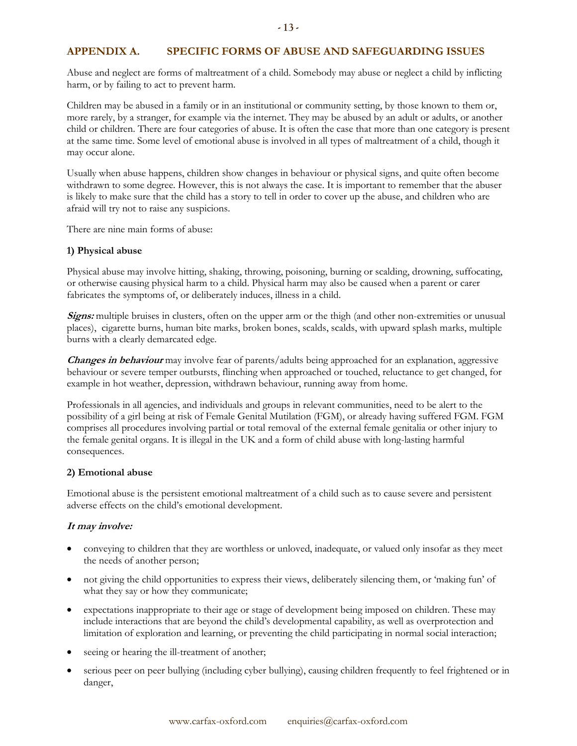# **APPENDIX A. SPECIFIC FORMS OF ABUSE AND SAFEGUARDING ISSUES**

Abuse and neglect are forms of maltreatment of a child. Somebody may abuse or neglect a child by inflicting harm, or by failing to act to prevent harm.

Children may be abused in a family or in an institutional or community setting, by those known to them or, more rarely, by a stranger, for example via the internet. They may be abused by an adult or adults, or another child or children. There are four categories of abuse. It is often the case that more than one category is present at the same time. Some level of emotional abuse is involved in all types of maltreatment of a child, though it may occur alone.

Usually when abuse happens, children show changes in behaviour or physical signs, and quite often become withdrawn to some degree. However, this is not always the case. It is important to remember that the abuser is likely to make sure that the child has a story to tell in order to cover up the abuse, and children who are afraid will try not to raise any suspicions.

There are nine main forms of abuse:

#### **1) Physical abuse**

Physical abuse may involve hitting, shaking, throwing, poisoning, burning or scalding, drowning, suffocating, or otherwise causing physical harm to a child. Physical harm may also be caused when a parent or carer fabricates the symptoms of, or deliberately induces, illness in a child.

**Signs:** multiple bruises in clusters, often on the upper arm or the thigh (and other non-extremities or unusual places), cigarette burns, human bite marks, broken bones, scalds, scalds, with upward splash marks, multiple burns with a clearly demarcated edge.

**Changes in behaviour** may involve fear of parents/adults being approached for an explanation, aggressive behaviour or severe temper outbursts, flinching when approached or touched, reluctance to get changed, for example in hot weather, depression, withdrawn behaviour, running away from home.

Professionals in all agencies, and individuals and groups in relevant communities, need to be alert to the possibility of a girl being at risk of Female Genital Mutilation (FGM), or already having suffered FGM. FGM comprises all procedures involving partial or total removal of the external female genitalia or other injury to the female genital organs. It is illegal in the UK and a form of child abuse with long-lasting harmful consequences.

#### **2) Emotional abuse**

Emotional abuse is the persistent emotional maltreatment of a child such as to cause severe and persistent adverse effects on the child's emotional development.

#### **It may involve:**

- conveying to children that they are worthless or unloved, inadequate, or valued only insofar as they meet the needs of another person;
- not giving the child opportunities to express their views, deliberately silencing them, or 'making fun' of what they say or how they communicate;
- expectations inappropriate to their age or stage of development being imposed on children. These may include interactions that are beyond the child's developmental capability, as well as overprotection and limitation of exploration and learning, or preventing the child participating in normal social interaction;
- seeing or hearing the ill-treatment of another;
- serious peer on peer bullying (including cyber bullying), causing children frequently to feel frightened or in danger,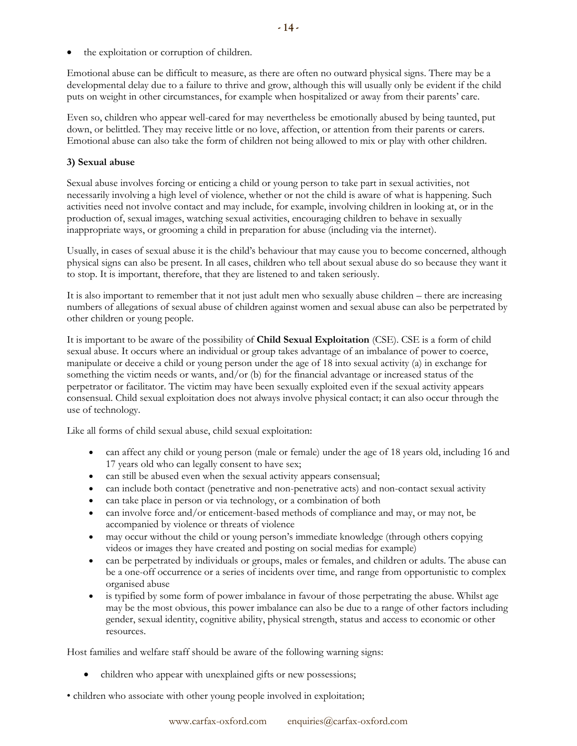the exploitation or corruption of children.

Emotional abuse can be difficult to measure, as there are often no outward physical signs. There may be a developmental delay due to a failure to thrive and grow, although this will usually only be evident if the child puts on weight in other circumstances, for example when hospitalized or away from their parents' care.

Even so, children who appear well-cared for may nevertheless be emotionally abused by being taunted, put down, or belittled. They may receive little or no love, affection, or attention from their parents or carers. Emotional abuse can also take the form of children not being allowed to mix or play with other children.

# **3) Sexual abuse**

Sexual abuse involves forcing or enticing a child or young person to take part in sexual activities, not necessarily involving a high level of violence, whether or not the child is aware of what is happening. Such activities need not involve contact and may include, for example, involving children in looking at, or in the production of, sexual images, watching sexual activities, encouraging children to behave in sexually inappropriate ways, or grooming a child in preparation for abuse (including via the internet).

Usually, in cases of sexual abuse it is the child's behaviour that may cause you to become concerned, although physical signs can also be present. In all cases, children who tell about sexual abuse do so because they want it to stop. It is important, therefore, that they are listened to and taken seriously.

It is also important to remember that it not just adult men who sexually abuse children – there are increasing numbers of allegations of sexual abuse of children against women and sexual abuse can also be perpetrated by other children or young people.

It is important to be aware of the possibility of **Child Sexual Exploitation** (CSE). CSE is a form of child sexual abuse. It occurs where an individual or group takes advantage of an imbalance of power to coerce, manipulate or deceive a child or young person under the age of 18 into sexual activity (a) in exchange for something the victim needs or wants, and/or (b) for the financial advantage or increased status of the perpetrator or facilitator. The victim may have been sexually exploited even if the sexual activity appears consensual. Child sexual exploitation does not always involve physical contact; it can also occur through the use of technology.

Like all forms of child sexual abuse, child sexual exploitation:

- can affect any child or young person (male or female) under the age of 18 years old, including 16 and 17 years old who can legally consent to have sex;
- can still be abused even when the sexual activity appears consensual;
- can include both contact (penetrative and non-penetrative acts) and non-contact sexual activity
- can take place in person or via technology, or a combination of both
- can involve force and/or enticement-based methods of compliance and may, or may not, be accompanied by violence or threats of violence
- may occur without the child or young person's immediate knowledge (through others copying videos or images they have created and posting on social medias for example)
- can be perpetrated by individuals or groups, males or females, and children or adults. The abuse can be a one-off occurrence or a series of incidents over time, and range from opportunistic to complex organised abuse
- is typified by some form of power imbalance in favour of those perpetrating the abuse. Whilst age may be the most obvious, this power imbalance can also be due to a range of other factors including gender, sexual identity, cognitive ability, physical strength, status and access to economic or other resources.

Host families and welfare staff should be aware of the following warning signs:

- children who appear with unexplained gifts or new possessions;
- children who associate with other young people involved in exploitation;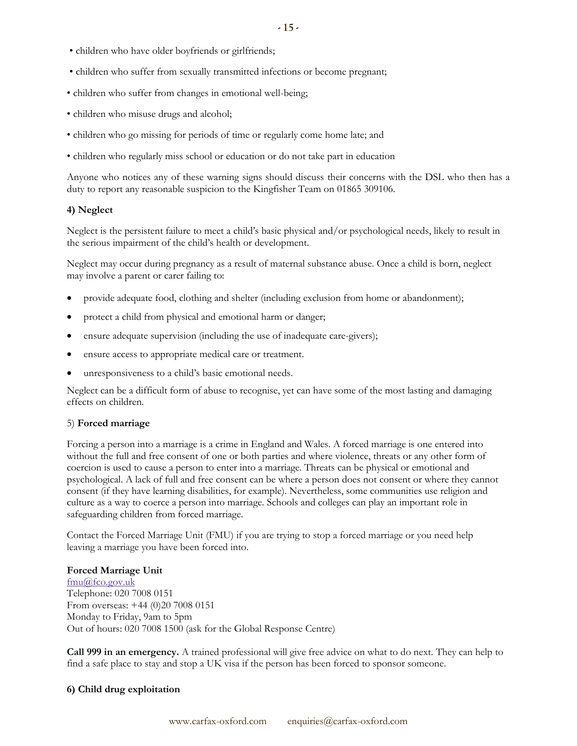- children who have older boyfriends or girlfriends;
- children who suffer from sexually transmitted infections or become pregnant;
- children who suffer from changes in emotional well-being;
- children who misuse drugs and alcohol;
- children who go missing for periods of time or regularly come home late; and
- children who regularly miss school or education or do not take part in education

Anyone who notices any of these warning signs should discuss their concerns with the DSL who then has a duty to report any reasonable suspicion to the Kingfisher Team on 01865 309106.

#### **4) Neglect**

Neglect is the persistent failure to meet a child's basic physical and/or psychological needs, likely to result in the serious impairment of the child's health or development.

Neglect may occur during pregnancy as a result of maternal substance abuse. Once a child is born, neglect may involve a parent or carer failing to:

- provide adequate food, clothing and shelter (including exclusion from home or abandonment);
- protect a child from physical and emotional harm or danger;
- ensure adequate supervision (including the use of inadequate care-givers);
- ensure access to appropriate medical care or treatment.
- unresponsiveness to a child's basic emotional needs.

Neglect can be a difficult form of abuse to recognise, yet can have some of the most lasting and damaging effects on children.

#### 5) **Forced marriage**

Forcing a person into a marriage is a crime in England and Wales. A forced marriage is one entered into without the full and free consent of one or both parties and where violence, threats or any other form of coercion is used to cause a person to enter into a marriage. Threats can be physical or emotional and psychological. A lack of full and free consent can be where a person does not consent or where they cannot consent (if they have learning disabilities, for example). Nevertheless, some communities use religion and culture as a way to coerce a person into marriage. Schools and colleges can play an important role in safeguarding children from forced marriage.

Contact the Forced Marriage Unit (FMU) if you are trying to stop a forced marriage or you need help leaving a marriage you have been forced into.

#### **Forced Marriage Unit**

[fmu@fco.gov.uk](mailto:fmu@fco.gov.uk) Telephone: 020 7008 0151 From overseas: +44 (0)20 7008 0151 Monday to Friday, 9am to 5pm Out of hours: 020 7008 1500 (ask for the Global Response Centre)

**Call 999 in an emergency.** A trained professional will give free advice on what to do next. They can help to find a safe place to stay and stop a UK visa if the person has been forced to sponsor someone.

#### **6) Child drug exploitation**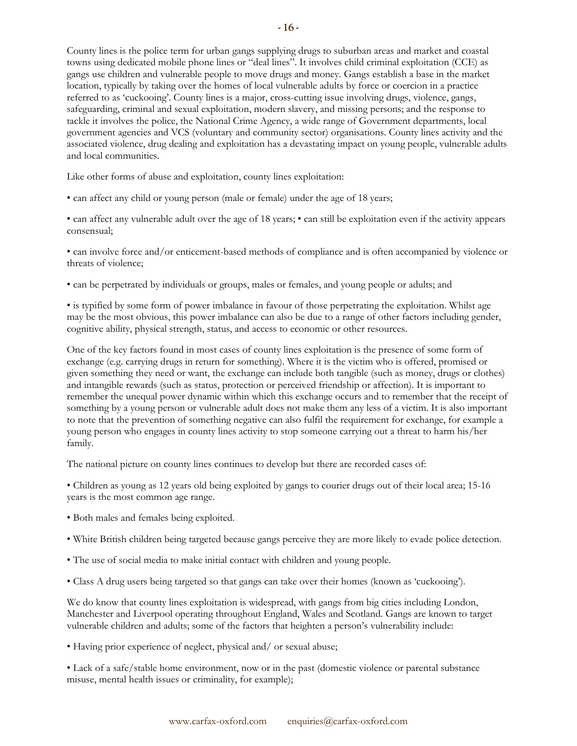County lines is the police term for urban gangs supplying drugs to suburban areas and market and coastal towns using dedicated mobile phone lines or "deal lines". It involves child criminal exploitation (CCE) as gangs use children and vulnerable people to move drugs and money. Gangs establish a base in the market location, typically by taking over the homes of local vulnerable adults by force or coercion in a practice referred to as 'cuckooing'. County lines is a major, cross-cutting issue involving drugs, violence, gangs, safeguarding, criminal and sexual exploitation, modern slavery, and missing persons; and the response to tackle it involves the police, the National Crime Agency, a wide range of Government departments, local government agencies and VCS (voluntary and community sector) organisations. County lines activity and the associated violence, drug dealing and exploitation has a devastating impact on young people, vulnerable adults and local communities.

Like other forms of abuse and exploitation, county lines exploitation:

• can affect any child or young person (male or female) under the age of 18 years;

• can affect any vulnerable adult over the age of 18 years; • can still be exploitation even if the activity appears consensual;

• can involve force and/or enticement-based methods of compliance and is often accompanied by violence or threats of violence;

• can be perpetrated by individuals or groups, males or females, and young people or adults; and

• is typified by some form of power imbalance in favour of those perpetrating the exploitation. Whilst age may be the most obvious, this power imbalance can also be due to a range of other factors including gender, cognitive ability, physical strength, status, and access to economic or other resources.

One of the key factors found in most cases of county lines exploitation is the presence of some form of exchange (e.g. carrying drugs in return for something). Where it is the victim who is offered, promised or given something they need or want, the exchange can include both tangible (such as money, drugs or clothes) and intangible rewards (such as status, protection or perceived friendship or affection). It is important to remember the unequal power dynamic within which this exchange occurs and to remember that the receipt of something by a young person or vulnerable adult does not make them any less of a victim. It is also important to note that the prevention of something negative can also fulfil the requirement for exchange, for example a young person who engages in county lines activity to stop someone carrying out a threat to harm his/her family.

The national picture on county lines continues to develop but there are recorded cases of:

• Children as young as 12 years old being exploited by gangs to courier drugs out of their local area; 15-16 years is the most common age range.

- Both males and females being exploited.
- White British children being targeted because gangs perceive they are more likely to evade police detection.
- The use of social media to make initial contact with children and young people.
- Class A drug users being targeted so that gangs can take over their homes (known as 'cuckooing').

We do know that county lines exploitation is widespread, with gangs from big cities including London, Manchester and Liverpool operating throughout England, Wales and Scotland. Gangs are known to target vulnerable children and adults; some of the factors that heighten a person's vulnerability include:

• Having prior experience of neglect, physical and/ or sexual abuse;

• Lack of a safe/stable home environment, now or in the past (domestic violence or parental substance misuse, mental health issues or criminality, for example);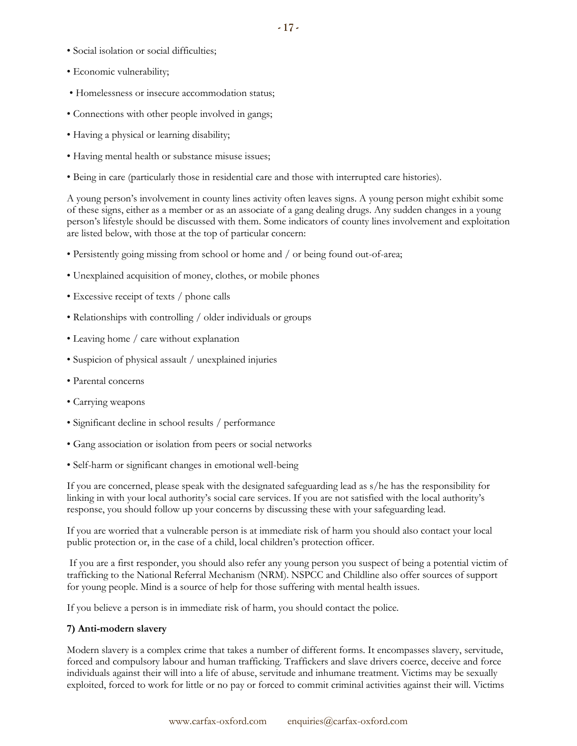- Social isolation or social difficulties;
- Economic vulnerability;
- Homelessness or insecure accommodation status;
- Connections with other people involved in gangs;
- Having a physical or learning disability;
- Having mental health or substance misuse issues;
- Being in care (particularly those in residential care and those with interrupted care histories).

A young person's involvement in county lines activity often leaves signs. A young person might exhibit some of these signs, either as a member or as an associate of a gang dealing drugs. Any sudden changes in a young person's lifestyle should be discussed with them. Some indicators of county lines involvement and exploitation are listed below, with those at the top of particular concern:

- Persistently going missing from school or home and / or being found out-of-area;
- Unexplained acquisition of money, clothes, or mobile phones
- Excessive receipt of texts / phone calls
- Relationships with controlling / older individuals or groups
- Leaving home / care without explanation
- Suspicion of physical assault / unexplained injuries
- Parental concerns
- Carrying weapons
- Significant decline in school results / performance
- Gang association or isolation from peers or social networks
- Self-harm or significant changes in emotional well-being

If you are concerned, please speak with the designated safeguarding lead as s/he has the responsibility for linking in with your local authority's social care services. If you are not satisfied with the local authority's response, you should follow up your concerns by discussing these with your safeguarding lead.

If you are worried that a vulnerable person is at immediate risk of harm you should also contact your local public protection or, in the case of a child, local children's protection officer.

If you are a first responder, you should also refer any young person you suspect of being a potential victim of trafficking to the National Referral Mechanism (NRM). NSPCC and Childline also offer sources of support for young people. Mind is a source of help for those suffering with mental health issues.

If you believe a person is in immediate risk of harm, you should contact the police.

# **7) Anti-modern slavery**

Modern slavery is a complex crime that takes a number of different forms. It encompasses slavery, servitude, forced and compulsory labour and human trafficking. Traffickers and slave drivers coerce, deceive and force individuals against their will into a life of abuse, servitude and inhumane treatment. Victims may be sexually exploited, forced to work for little or no pay or forced to commit criminal activities against their will. Victims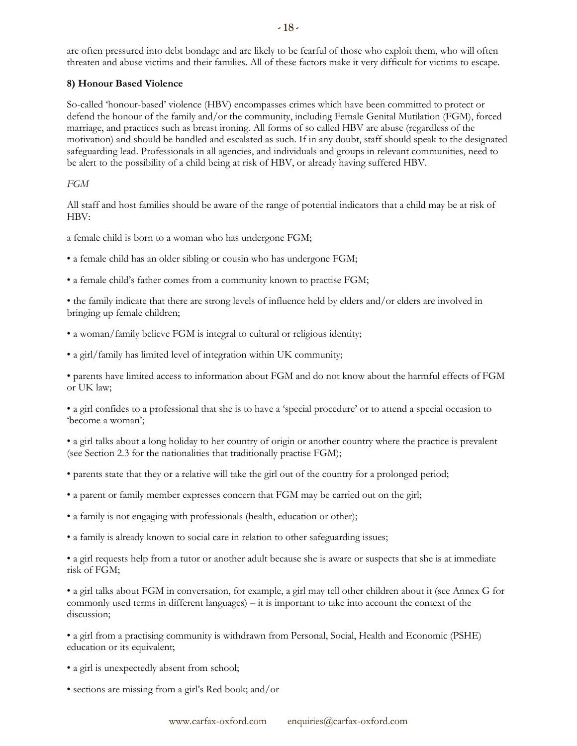are often pressured into debt bondage and are likely to be fearful of those who exploit them, who will often threaten and abuse victims and their families. All of these factors make it very difficult for victims to escape.

# **8) Honour Based Violence**

So-called 'honour-based' violence (HBV) encompasses crimes which have been committed to protect or defend the honour of the family and/or the community, including Female Genital Mutilation (FGM), forced marriage, and practices such as breast ironing. All forms of so called HBV are abuse (regardless of the motivation) and should be handled and escalated as such. If in any doubt, staff should speak to the designated safeguarding lead. Professionals in all agencies, and individuals and groups in relevant communities, need to be alert to the possibility of a child being at risk of HBV, or already having suffered HBV.

# *FGM*

All staff and host families should be aware of the range of potential indicators that a child may be at risk of HBV:

a female child is born to a woman who has undergone FGM;

• a female child has an older sibling or cousin who has undergone FGM;

• a female child's father comes from a community known to practise FGM;

• the family indicate that there are strong levels of influence held by elders and/or elders are involved in bringing up female children;

- a woman/family believe FGM is integral to cultural or religious identity;
- a girl/family has limited level of integration within UK community;

• parents have limited access to information about FGM and do not know about the harmful effects of FGM or UK law;

• a girl confides to a professional that she is to have a 'special procedure' or to attend a special occasion to 'become a woman';

• a girl talks about a long holiday to her country of origin or another country where the practice is prevalent (see Section 2.3 for the nationalities that traditionally practise FGM);

- parents state that they or a relative will take the girl out of the country for a prolonged period;
- a parent or family member expresses concern that FGM may be carried out on the girl;
- a family is not engaging with professionals (health, education or other);
- a family is already known to social care in relation to other safeguarding issues;

• a girl requests help from a tutor or another adult because she is aware or suspects that she is at immediate risk of FGM;

• a girl talks about FGM in conversation, for example, a girl may tell other children about it (see Annex G for commonly used terms in different languages) – it is important to take into account the context of the discussion;

• a girl from a practising community is withdrawn from Personal, Social, Health and Economic (PSHE) education or its equivalent;

- a girl is unexpectedly absent from school;
- sections are missing from a girl's Red book; and/or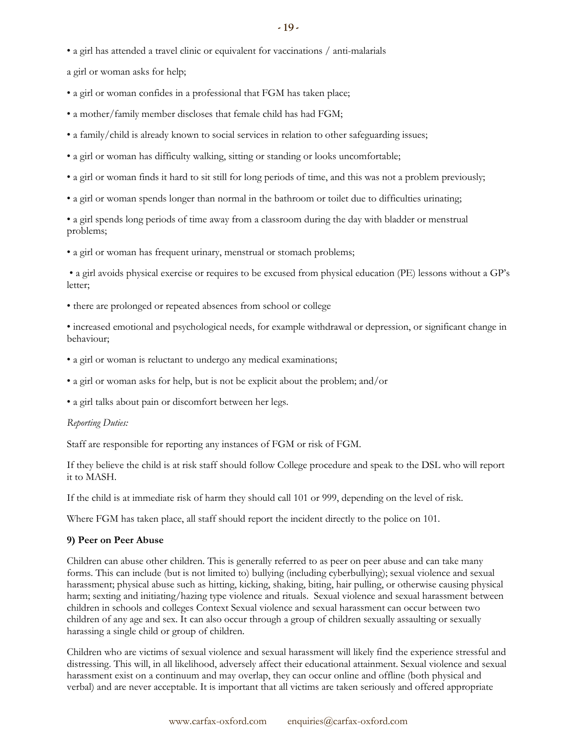• a girl has attended a travel clinic or equivalent for vaccinations / anti-malarials

a girl or woman asks for help;

• a girl or woman confides in a professional that FGM has taken place;

• a mother/family member discloses that female child has had FGM;

- a family/child is already known to social services in relation to other safeguarding issues;
- a girl or woman has difficulty walking, sitting or standing or looks uncomfortable;
- a girl or woman finds it hard to sit still for long periods of time, and this was not a problem previously;
- a girl or woman spends longer than normal in the bathroom or toilet due to difficulties urinating;

• a girl spends long periods of time away from a classroom during the day with bladder or menstrual problems;

• a girl or woman has frequent urinary, menstrual or stomach problems;

• a girl avoids physical exercise or requires to be excused from physical education (PE) lessons without a GP's letter;

• there are prolonged or repeated absences from school or college

• increased emotional and psychological needs, for example withdrawal or depression, or significant change in behaviour;

- a girl or woman is reluctant to undergo any medical examinations;
- a girl or woman asks for help, but is not be explicit about the problem; and/or
- a girl talks about pain or discomfort between her legs.

#### *Reporting Duties:*

Staff are responsible for reporting any instances of FGM or risk of FGM.

If they believe the child is at risk staff should follow College procedure and speak to the DSL who will report it to MASH.

If the child is at immediate risk of harm they should call 101 or 999, depending on the level of risk.

Where FGM has taken place, all staff should report the incident directly to the police on 101.

#### **9) Peer on Peer Abuse**

Children can abuse other children. This is generally referred to as peer on peer abuse and can take many forms. This can include (but is not limited to) bullying (including cyberbullying); sexual violence and sexual harassment; physical abuse such as hitting, kicking, shaking, biting, hair pulling, or otherwise causing physical harm; sexting and initiating/hazing type violence and rituals. Sexual violence and sexual harassment between children in schools and colleges Context Sexual violence and sexual harassment can occur between two children of any age and sex. It can also occur through a group of children sexually assaulting or sexually harassing a single child or group of children.

Children who are victims of sexual violence and sexual harassment will likely find the experience stressful and distressing. This will, in all likelihood, adversely affect their educational attainment. Sexual violence and sexual harassment exist on a continuum and may overlap, they can occur online and offline (both physical and verbal) and are never acceptable. It is important that all victims are taken seriously and offered appropriate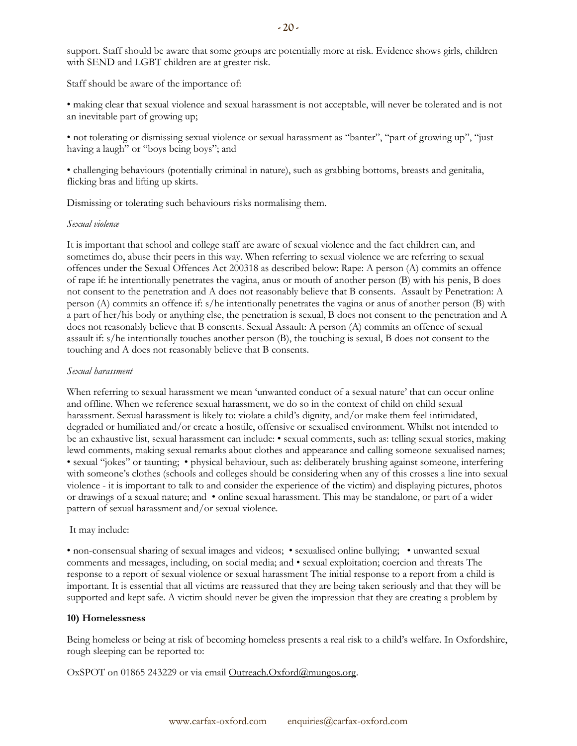support. Staff should be aware that some groups are potentially more at risk. Evidence shows girls, children with SEND and LGBT children are at greater risk.

Staff should be aware of the importance of:

• making clear that sexual violence and sexual harassment is not acceptable, will never be tolerated and is not an inevitable part of growing up;

• not tolerating or dismissing sexual violence or sexual harassment as "banter", "part of growing up", "just having a laugh" or "boys being boys"; and

• challenging behaviours (potentially criminal in nature), such as grabbing bottoms, breasts and genitalia, flicking bras and lifting up skirts.

Dismissing or tolerating such behaviours risks normalising them.

#### *Sexual violence*

It is important that school and college staff are aware of sexual violence and the fact children can, and sometimes do, abuse their peers in this way. When referring to sexual violence we are referring to sexual offences under the Sexual Offences Act 200318 as described below: Rape: A person (A) commits an offence of rape if: he intentionally penetrates the vagina, anus or mouth of another person (B) with his penis, B does not consent to the penetration and A does not reasonably believe that B consents. Assault by Penetration: A person (A) commits an offence if: s/he intentionally penetrates the vagina or anus of another person (B) with a part of her/his body or anything else, the penetration is sexual, B does not consent to the penetration and A does not reasonably believe that B consents. Sexual Assault: A person (A) commits an offence of sexual assault if: s/he intentionally touches another person (B), the touching is sexual, B does not consent to the touching and A does not reasonably believe that B consents.

#### *Sexual harassment*

When referring to sexual harassment we mean 'unwanted conduct of a sexual nature' that can occur online and offline. When we reference sexual harassment, we do so in the context of child on child sexual harassment. Sexual harassment is likely to: violate a child's dignity, and/or make them feel intimidated, degraded or humiliated and/or create a hostile, offensive or sexualised environment. Whilst not intended to be an exhaustive list, sexual harassment can include: • sexual comments, such as: telling sexual stories, making lewd comments, making sexual remarks about clothes and appearance and calling someone sexualised names; • sexual "jokes" or taunting; • physical behaviour, such as: deliberately brushing against someone, interfering with someone's clothes (schools and colleges should be considering when any of this crosses a line into sexual violence - it is important to talk to and consider the experience of the victim) and displaying pictures, photos or drawings of a sexual nature; and • online sexual harassment. This may be standalone, or part of a wider pattern of sexual harassment and/or sexual violence.

#### It may include:

• non-consensual sharing of sexual images and videos; • sexualised online bullying; • unwanted sexual comments and messages, including, on social media; and • sexual exploitation; coercion and threats The response to a report of sexual violence or sexual harassment The initial response to a report from a child is important. It is essential that all victims are reassured that they are being taken seriously and that they will be supported and kept safe. A victim should never be given the impression that they are creating a problem by

#### **10) Homelessness**

Being homeless or being at risk of becoming homeless presents a real risk to a child's welfare. In Oxfordshire, rough sleeping can be reported to:

OxSPOT on 01865 243229 or via email [Outreach.Oxford@mungos.org.](mailto:Outreach.Oxford@mungos.org)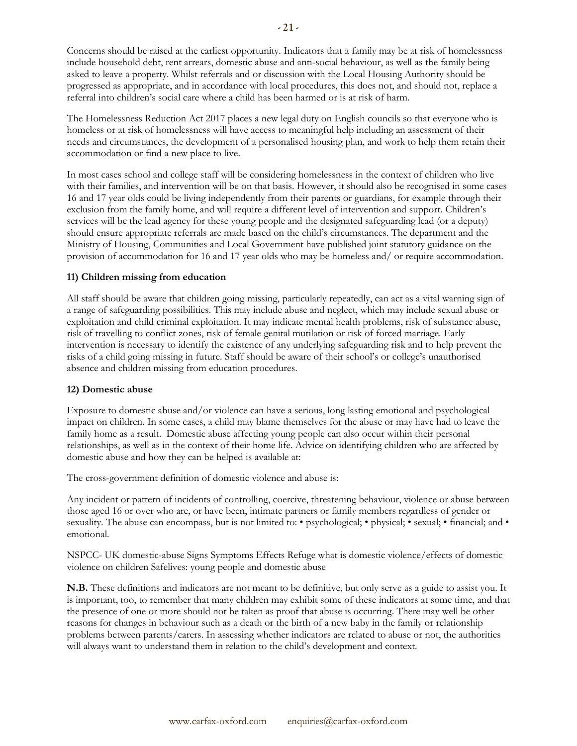The Homelessness Reduction Act 2017 places a new legal duty on English councils so that everyone who is homeless or at risk of homelessness will have access to meaningful help including an assessment of their needs and circumstances, the development of a personalised housing plan, and work to help them retain their accommodation or find a new place to live.

In most cases school and college staff will be considering homelessness in the context of children who live with their families, and intervention will be on that basis. However, it should also be recognised in some cases 16 and 17 year olds could be living independently from their parents or guardians, for example through their exclusion from the family home, and will require a different level of intervention and support. Children's services will be the lead agency for these young people and the designated safeguarding lead (or a deputy) should ensure appropriate referrals are made based on the child's circumstances. The department and the Ministry of Housing, Communities and Local Government have published joint statutory guidance on the provision of accommodation for 16 and 17 year olds who may be homeless and/ or require accommodation.

### **11) Children missing from education**

All staff should be aware that children going missing, particularly repeatedly, can act as a vital warning sign of a range of safeguarding possibilities. This may include abuse and neglect, which may include sexual abuse or exploitation and child criminal exploitation. It may indicate mental health problems, risk of substance abuse, risk of travelling to conflict zones, risk of female genital mutilation or risk of forced marriage. Early intervention is necessary to identify the existence of any underlying safeguarding risk and to help prevent the risks of a child going missing in future. Staff should be aware of their school's or college's unauthorised absence and children missing from education procedures.

#### **12) Domestic abuse**

Exposure to domestic abuse and/or violence can have a serious, long lasting emotional and psychological impact on children. In some cases, a child may blame themselves for the abuse or may have had to leave the family home as a result. Domestic abuse affecting young people can also occur within their personal relationships, as well as in the context of their home life. Advice on identifying children who are affected by domestic abuse and how they can be helped is available at:

The cross-government definition of domestic violence and abuse is:

Any incident or pattern of incidents of controlling, coercive, threatening behaviour, violence or abuse between those aged 16 or over who are, or have been, intimate partners or family members regardless of gender or sexuality. The abuse can encompass, but is not limited to: • psychological; • physical; • sexual; • financial; and • emotional.

NSPCC- UK domestic-abuse Signs Symptoms Effects Refuge what is domestic violence/effects of domestic violence on children Safelives: young people and domestic abuse

**N.B.** These definitions and indicators are not meant to be definitive, but only serve as a guide to assist you. It is important, too, to remember that many children may exhibit some of these indicators at some time, and that the presence of one or more should not be taken as proof that abuse is occurring. There may well be other reasons for changes in behaviour such as a death or the birth of a new baby in the family or relationship problems between parents/carers. In assessing whether indicators are related to abuse or not, the authorities will always want to understand them in relation to the child's development and context.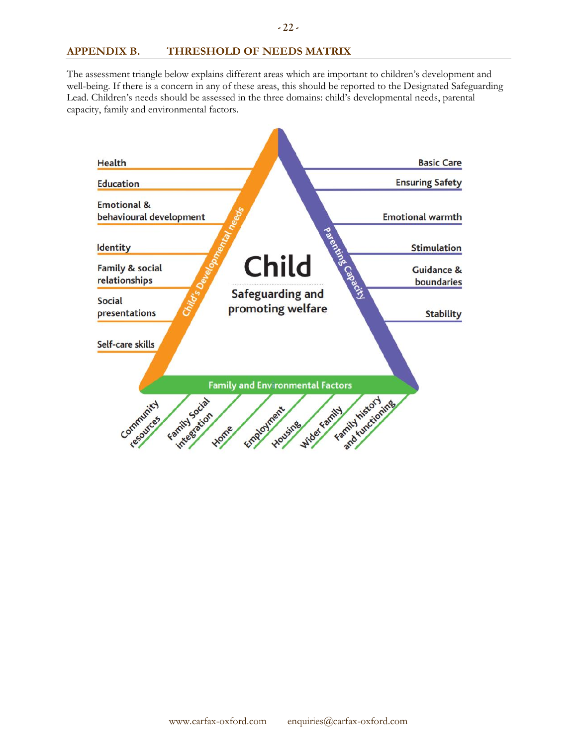# **APPENDIX B. THRESHOLD OF NEEDS MATRIX**

The assessment triangle below explains different areas which are important to children's development and well-being. If there is a concern in any of these areas, this should be reported to the Designated Safeguarding Lead. Children's needs should be assessed in the three domains: child's developmental needs, parental capacity, family and environmental factors.

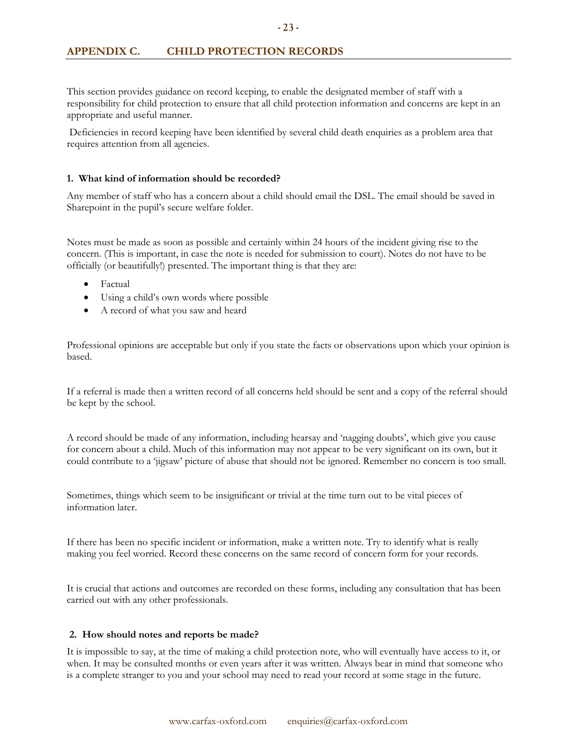This section provides guidance on record keeping, to enable the designated member of staff with a responsibility for child protection to ensure that all child protection information and concerns are kept in an appropriate and useful manner.

Deficiencies in record keeping have been identified by several child death enquiries as a problem area that requires attention from all agencies.

### **1. What kind of information should be recorded?**

Any member of staff who has a concern about a child should email the DSL. The email should be saved in Sharepoint in the pupil's secure welfare folder.

Notes must be made as soon as possible and certainly within 24 hours of the incident giving rise to the concern. (This is important, in case the note is needed for submission to court). Notes do not have to be officially (or beautifully!) presented. The important thing is that they are:

- Factual
- Using a child's own words where possible
- A record of what you saw and heard

Professional opinions are acceptable but only if you state the facts or observations upon which your opinion is based.

If a referral is made then a written record of all concerns held should be sent and a copy of the referral should be kept by the school.

A record should be made of any information, including hearsay and 'nagging doubts', which give you cause for concern about a child. Much of this information may not appear to be very significant on its own, but it could contribute to a 'jigsaw' picture of abuse that should not be ignored. Remember no concern is too small.

Sometimes, things which seem to be insignificant or trivial at the time turn out to be vital pieces of information later.

If there has been no specific incident or information, make a written note. Try to identify what is really making you feel worried. Record these concerns on the same record of concern form for your records.

It is crucial that actions and outcomes are recorded on these forms, including any consultation that has been carried out with any other professionals.

# **2. How should notes and reports be made?**

It is impossible to say, at the time of making a child protection note, who will eventually have access to it, or when. It may be consulted months or even years after it was written. Always bear in mind that someone who is a complete stranger to you and your school may need to read your record at some stage in the future.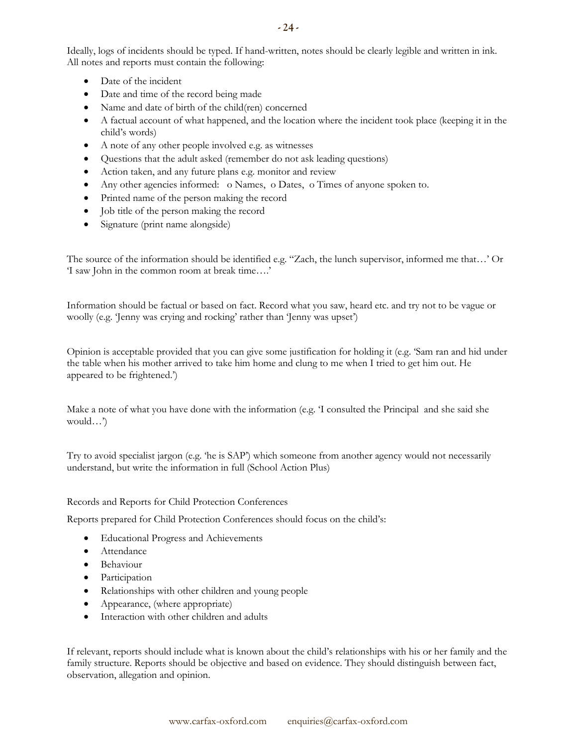Ideally, logs of incidents should be typed. If hand-written, notes should be clearly legible and written in ink. All notes and reports must contain the following:

- Date of the incident
- Date and time of the record being made
- Name and date of birth of the child(ren) concerned
- A factual account of what happened, and the location where the incident took place (keeping it in the child's words)
- A note of any other people involved e.g. as witnesses
- Questions that the adult asked (remember do not ask leading questions)
- Action taken, and any future plans e.g. monitor and review
- Any other agencies informed: o Names, o Dates, o Times of anyone spoken to.
- Printed name of the person making the record
- Job title of the person making the record
- Signature (print name alongside)

The source of the information should be identified e.g. "Zach, the lunch supervisor, informed me that…' Or 'I saw John in the common room at break time….'

Information should be factual or based on fact. Record what you saw, heard etc. and try not to be vague or woolly (e.g. 'Jenny was crying and rocking' rather than 'Jenny was upset')

Opinion is acceptable provided that you can give some justification for holding it (e.g. 'Sam ran and hid under the table when his mother arrived to take him home and clung to me when I tried to get him out. He appeared to be frightened.')

Make a note of what you have done with the information (e.g. 'I consulted the Principal and she said she would…')

Try to avoid specialist jargon (e.g. 'he is SAP') which someone from another agency would not necessarily understand, but write the information in full (School Action Plus)

Records and Reports for Child Protection Conferences

Reports prepared for Child Protection Conferences should focus on the child's:

- Educational Progress and Achievements
- Attendance
- Behaviour
- Participation
- Relationships with other children and young people
- Appearance, (where appropriate)
- Interaction with other children and adults

If relevant, reports should include what is known about the child's relationships with his or her family and the family structure. Reports should be objective and based on evidence. They should distinguish between fact, observation, allegation and opinion.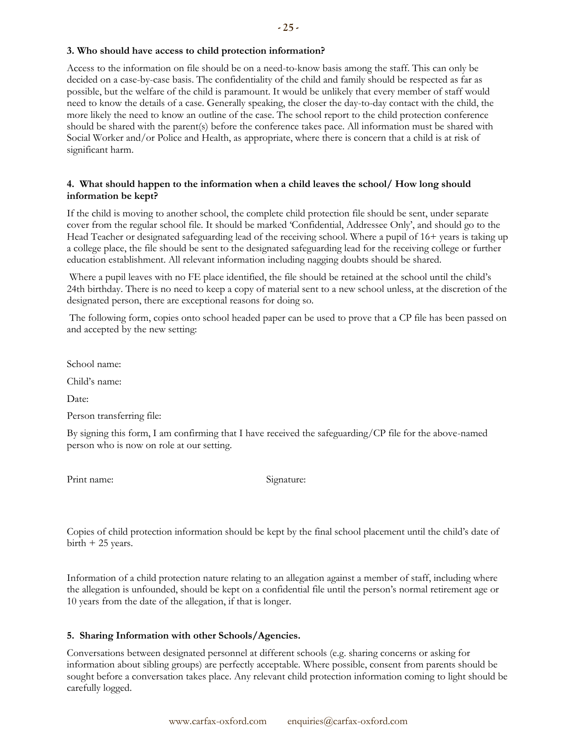### **3. Who should have access to child protection information?**

Access to the information on file should be on a need-to-know basis among the staff. This can only be decided on a case-by-case basis. The confidentiality of the child and family should be respected as far as possible, but the welfare of the child is paramount. It would be unlikely that every member of staff would need to know the details of a case. Generally speaking, the closer the day-to-day contact with the child, the more likely the need to know an outline of the case. The school report to the child protection conference should be shared with the parent(s) before the conference takes pace. All information must be shared with Social Worker and/or Police and Health, as appropriate, where there is concern that a child is at risk of significant harm.

### **4. What should happen to the information when a child leaves the school/ How long should information be kept?**

If the child is moving to another school, the complete child protection file should be sent, under separate cover from the regular school file. It should be marked 'Confidential, Addressee Only', and should go to the Head Teacher or designated safeguarding lead of the receiving school. Where a pupil of 16+ years is taking up a college place, the file should be sent to the designated safeguarding lead for the receiving college or further education establishment. All relevant information including nagging doubts should be shared.

Where a pupil leaves with no FE place identified, the file should be retained at the school until the child's 24th birthday. There is no need to keep a copy of material sent to a new school unless, at the discretion of the designated person, there are exceptional reasons for doing so.

The following form, copies onto school headed paper can be used to prove that a CP file has been passed on and accepted by the new setting:

School name:

Child's name:

Date:

Person transferring file:

By signing this form, I am confirming that I have received the safeguarding/CP file for the above-named person who is now on role at our setting.

Print name: Signature:

Copies of child protection information should be kept by the final school placement until the child's date of birth + 25 years.

Information of a child protection nature relating to an allegation against a member of staff, including where the allegation is unfounded, should be kept on a confidential file until the person's normal retirement age or 10 years from the date of the allegation, if that is longer.

# **5. Sharing Information with other Schools/Agencies.**

Conversations between designated personnel at different schools (e.g. sharing concerns or asking for information about sibling groups) are perfectly acceptable. Where possible, consent from parents should be sought before a conversation takes place. Any relevant child protection information coming to light should be carefully logged.